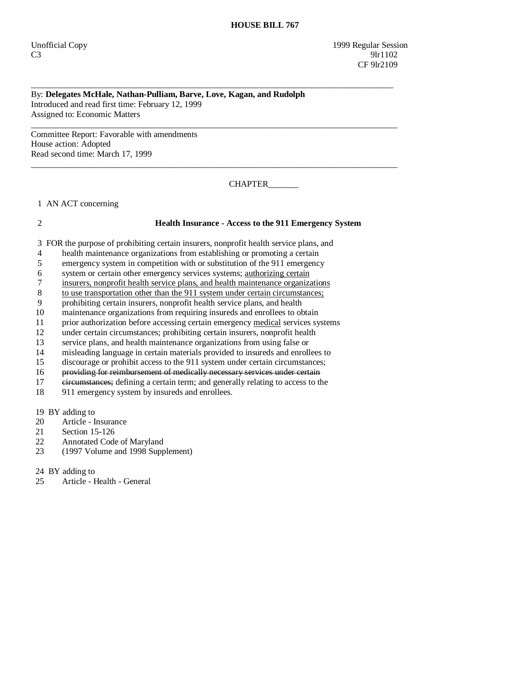Unofficial Copy 1999 Regular Session  $C3$  9lr1102 CF 9lr2109

## By: **Delegates McHale, Nathan-Pulliam, Barve, Love, Kagan, and Rudolph**  Introduced and read first time: February 12, 1999 Assigned to: Economic Matters

\_\_\_\_\_\_\_\_\_\_\_\_\_\_\_\_\_\_\_\_\_\_\_\_\_\_\_\_\_\_\_\_\_\_\_\_\_\_\_\_\_\_\_\_\_\_\_\_\_\_\_\_\_\_\_\_\_\_\_\_\_\_\_\_\_\_\_\_\_\_\_\_\_\_\_\_\_\_\_\_\_\_\_\_

 $\overline{\phantom{a}}$  ,  $\overline{\phantom{a}}$  ,  $\overline{\phantom{a}}$  ,  $\overline{\phantom{a}}$  ,  $\overline{\phantom{a}}$  ,  $\overline{\phantom{a}}$  ,  $\overline{\phantom{a}}$  ,  $\overline{\phantom{a}}$  ,  $\overline{\phantom{a}}$  ,  $\overline{\phantom{a}}$  ,  $\overline{\phantom{a}}$  ,  $\overline{\phantom{a}}$  ,  $\overline{\phantom{a}}$  ,  $\overline{\phantom{a}}$  ,  $\overline{\phantom{a}}$  ,  $\overline{\phantom{a}}$ 

 $\overline{\phantom{a}}$  ,  $\overline{\phantom{a}}$  ,  $\overline{\phantom{a}}$  ,  $\overline{\phantom{a}}$  ,  $\overline{\phantom{a}}$  ,  $\overline{\phantom{a}}$  ,  $\overline{\phantom{a}}$  ,  $\overline{\phantom{a}}$  ,  $\overline{\phantom{a}}$  ,  $\overline{\phantom{a}}$  ,  $\overline{\phantom{a}}$  ,  $\overline{\phantom{a}}$  ,  $\overline{\phantom{a}}$  ,  $\overline{\phantom{a}}$  ,  $\overline{\phantom{a}}$  ,  $\overline{\phantom{a}}$ 

Committee Report: Favorable with amendments House action: Adopted Read second time: March 17, 1999

CHAPTER\_\_\_\_\_\_\_

1 AN ACT concerning

## 2 **Health Insurance - Access to the 911 Emergency System**

3 FOR the purpose of prohibiting certain insurers, nonprofit health service plans, and

- 4 health maintenance organizations from establishing or promoting a certain
- 5 emergency system in competition with or substitution of the 911 emergency
- 6 system or certain other emergency services systems; authorizing certain
- 7 insurers, nonprofit health service plans, and health maintenance organizations
- 8 to use transportation other than the 911 system under certain circumstances;
- 9 prohibiting certain insurers, nonprofit health service plans, and health
- 10 maintenance organizations from requiring insureds and enrollees to obtain
- 11 prior authorization before accessing certain emergency medical services systems
- 12 under certain circumstances; prohibiting certain insurers, nonprofit health
- 13 service plans, and health maintenance organizations from using false or
- 14 misleading language in certain materials provided to insureds and enrollees to
- 15 discourage or prohibit access to the 911 system under certain circumstances;
- 16 providing for reimbursement of medically necessary services under certain
- 17 eircumstances; defining a certain term; and generally relating to access to the
- 18 911 emergency system by insureds and enrollees.

19 BY adding to<br>20 Article - I

- Article Insurance
- 21 Section 15-126
- 22 Annotated Code of Maryland
- 23 (1997 Volume and 1998 Supplement)

24 BY adding to

25 Article - Health - General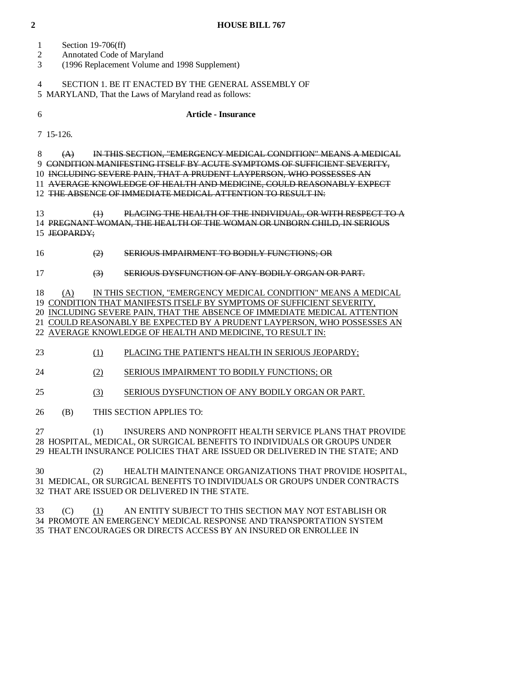- 1 Section 19-706(ff)
- 2 Annotated Code of Maryland
- 3 (1996 Replacement Volume and 1998 Supplement)

 4 SECTION 1. BE IT ENACTED BY THE GENERAL ASSEMBLY OF 5 MARYLAND, That the Laws of Maryland read as follows:

## 6 **Article - Insurance**

7 15-126.

8 (A) IN THIS SECTION, "EMERGENCY MEDICAL CONDITION" MEANS A MEDICAL

9 CONDITION MANIFESTING ITSELF BY ACUTE SYMPTOMS OF SUFFICIENT SEVERITY,

10 INCLUDING SEVERE PAIN, THAT A PRUDENT LAYPERSON, WHO POSSESSES AN

11 AVERAGE KNOWLEDGE OF HEALTH AND MEDICINE, COULD REASONABLY EXPECT

12 THE ABSENCE OF IMMEDIATE MEDICAL ATTENTION TO RESULT IN:

 13 (1) PLACING THE HEALTH OF THE INDIVIDUAL, OR WITH RESPECT TO A 14 PREGNANT WOMAN, THE HEALTH OF THE WOMAN OR UNBORN CHILD, IN SERIOUS 15 JEOPARDY;

16 (2) SERIOUS IMPAIRMENT TO BODILY FUNCTIONS; OR

17 (3) SERIOUS DYSFUNCTION OF ANY BODILY ORGAN OR PART.

18 (A) IN THIS SECTION, "EMERGENCY MEDICAL CONDITION" MEANS A MEDICAL

19 CONDITION THAT MANIFESTS ITSELF BY SYMPTOMS OF SUFFICIENT SEVERITY,

 20 INCLUDING SEVERE PAIN, THAT THE ABSENCE OF IMMEDIATE MEDICAL ATTENTION 21 COULD REASONABLY BE EXPECTED BY A PRUDENT LAYPERSON, WHO POSSESSES AN

22 AVERAGE KNOWLEDGE OF HEALTH AND MEDICINE, TO RESULT IN:

23 (1) PLACING THE PATIENT'S HEALTH IN SERIOUS JEOPARDY;

24 (2) SERIOUS IMPAIRMENT TO BODILY FUNCTIONS; OR

25 (3) SERIOUS DYSFUNCTION OF ANY BODILY ORGAN OR PART.

26 (B) THIS SECTION APPLIES TO:

 27 (1) INSURERS AND NONPROFIT HEALTH SERVICE PLANS THAT PROVIDE 28 HOSPITAL, MEDICAL, OR SURGICAL BENEFITS TO INDIVIDUALS OR GROUPS UNDER 29 HEALTH INSURANCE POLICIES THAT ARE ISSUED OR DELIVERED IN THE STATE; AND

 30 (2) HEALTH MAINTENANCE ORGANIZATIONS THAT PROVIDE HOSPITAL, 31 MEDICAL, OR SURGICAL BENEFITS TO INDIVIDUALS OR GROUPS UNDER CONTRACTS 32 THAT ARE ISSUED OR DELIVERED IN THE STATE.

 33 (C) (1) AN ENTITY SUBJECT TO THIS SECTION MAY NOT ESTABLISH OR 34 PROMOTE AN EMERGENCY MEDICAL RESPONSE AND TRANSPORTATION SYSTEM 35 THAT ENCOURAGES OR DIRECTS ACCESS BY AN INSURED OR ENROLLEE IN